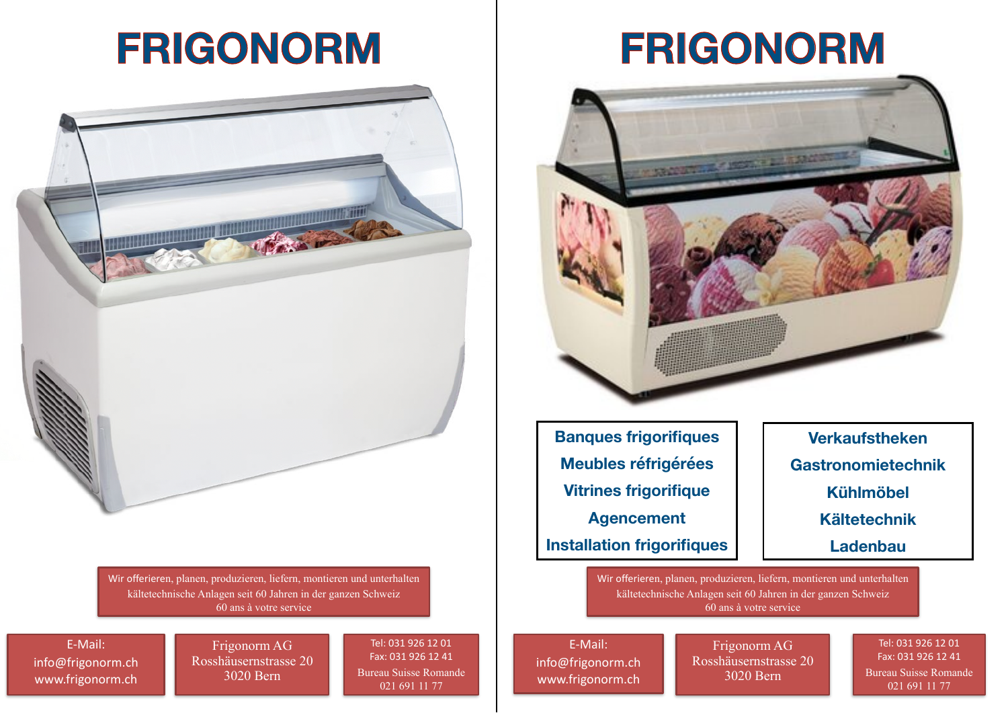## **FRIGONORM**



Wir offerieren, planen, produzieren, liefern, montieren und unterhalten kältetechnische Anlagen seit 60 Jahren in der ganzen Schweiz 60 ans à votre service

E-Mail: info@frigonorm.ch www.frigonorm.ch

Frigonorm AG Rosshäusernstrasse 20 3020 Bern

Tel: 031 926 12 01 Fax: 031 926 12 41 Bureau Suisse Romande 021 691 11 77

E-Mail: info@frigonorm.ch www.frigonorm.ch

Frigonorm AG Rosshäusernstrasse 20 3020 Bern



Tel: 031 926 12 01 Fax: 031 926 12 41 Bureau Suisse Romande 021 691 11 77

Bern **Banques frigorifiques Meubles réfrigérées Vitrines frigorifique Agencement Installation frigorifiques** 

> Wir offerieren, planen, produzieren, liefern, montieren und unterhalten kältetechnische Anlagen seit 60 Jahren in der ganzen Schweiz 60 ans à votre service

### **Verkaufstheken**

**Gastronomietechnik** 

### **Kühlmöbel**

**Kältetechnik** 

**Ladenbau**

# **FRIGONORM**